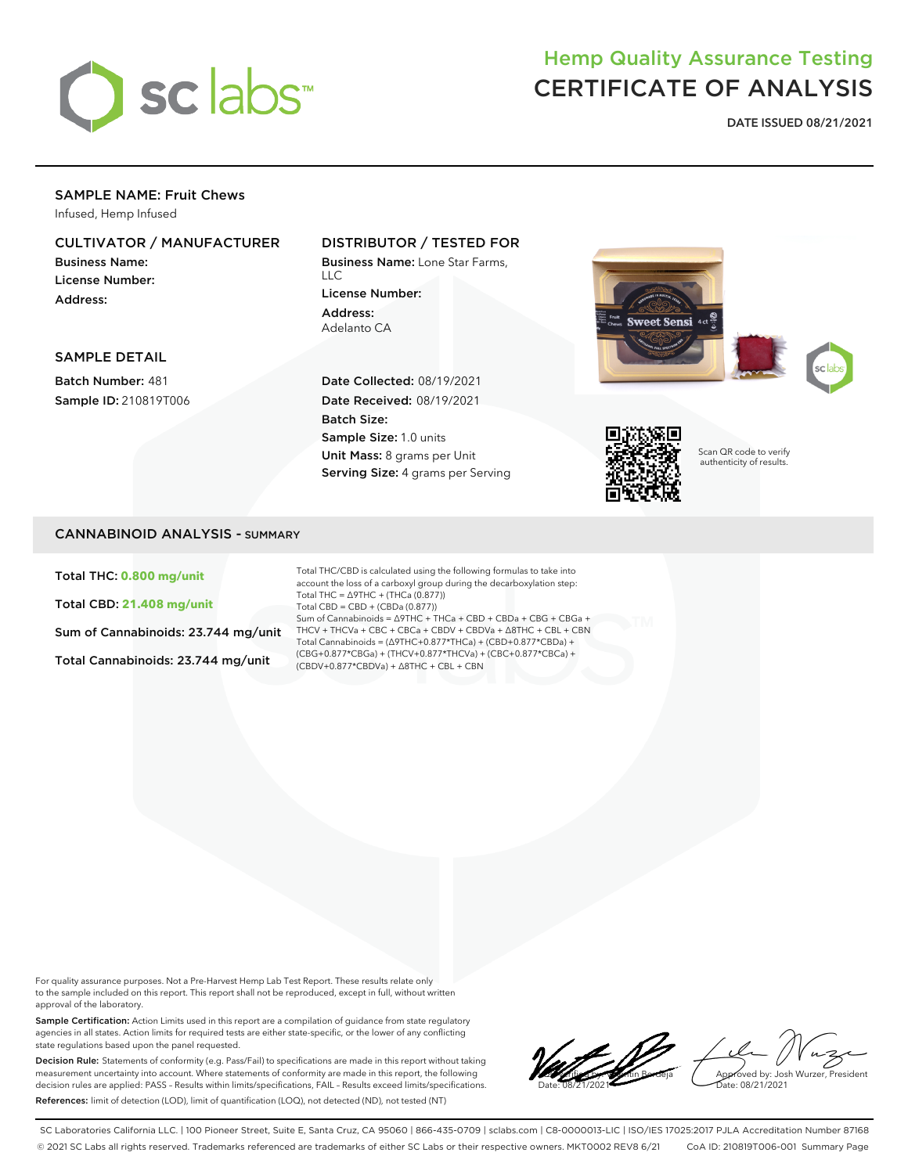

# Hemp Quality Assurance Testing CERTIFICATE OF ANALYSIS

**DATE ISSUED 08/21/2021**

# SAMPLE NAME: Fruit Chews

Infused, Hemp Infused

# CULTIVATOR / MANUFACTURER

Business Name: License Number: Address:

## DISTRIBUTOR / TESTED FOR

Business Name: Lone Star Farms,  $\overline{11}$ License Number: Address: Adelanto CA





SAMPLE DETAIL

Batch Number: 481 Sample ID: 210819T006

## Date Collected: 08/19/2021 Date Received: 08/19/2021 Batch Size: Sample Size: 1.0 units Unit Mass: 8 grams per Unit Serving Size: 4 grams per Serving



Scan QR code to verify authenticity of results.

# CANNABINOID ANALYSIS - SUMMARY

Total THC: **0.800 mg/unit**

Total CBD: **21.408 mg/unit**

Sum of Cannabinoids: 23.744 mg/unit

Total Cannabinoids: 23.744 mg/unit

Total THC/CBD is calculated using the following formulas to take into account the loss of a carboxyl group during the decarboxylation step: Total THC = ∆9THC + (THCa (0.877)) Total CBD = CBD + (CBDa (0.877)) Sum of Cannabinoids = ∆9THC + THCa + CBD + CBDa + CBG + CBGa + THCV + THCVa + CBC + CBCa + CBDV + CBDVa + ∆8THC + CBL + CBN Total Cannabinoids = (∆9THC+0.877\*THCa) + (CBD+0.877\*CBDa) + (CBG+0.877\*CBGa) + (THCV+0.877\*THCVa) + (CBC+0.877\*CBCa) + (CBDV+0.877\*CBDVa) + ∆8THC + CBL + CBN

For quality assurance purposes. Not a Pre-Harvest Hemp Lab Test Report. These results relate only to the sample included on this report. This report shall not be reproduced, except in full, without written approval of the laboratory.

Sample Certification: Action Limits used in this report are a compilation of guidance from state regulatory agencies in all states. Action limits for required tests are either state-specific, or the lower of any conflicting state regulations based upon the panel requested.

Decision Rule: Statements of conformity (e.g. Pass/Fail) to specifications are made in this report without taking measurement uncertainty into account. Where statements of conformity are made in this report, the following decision rules are applied: PASS – Results within limits/specifications, FAIL – Results exceed limits/specifications. References: limit of detection (LOD), limit of quantification (LOQ), not detected (ND), not tested (NT)



SC Laboratories California LLC. | 100 Pioneer Street, Suite E, Santa Cruz, CA 95060 | 866-435-0709 | sclabs.com | C8-0000013-LIC | ISO/IES 17025:2017 PJLA Accreditation Number 87168 © 2021 SC Labs all rights reserved. Trademarks referenced are trademarks of either SC Labs or their respective owners. MKT0002 REV8 6/21 CoA ID: 210819T006-001 Summary Page